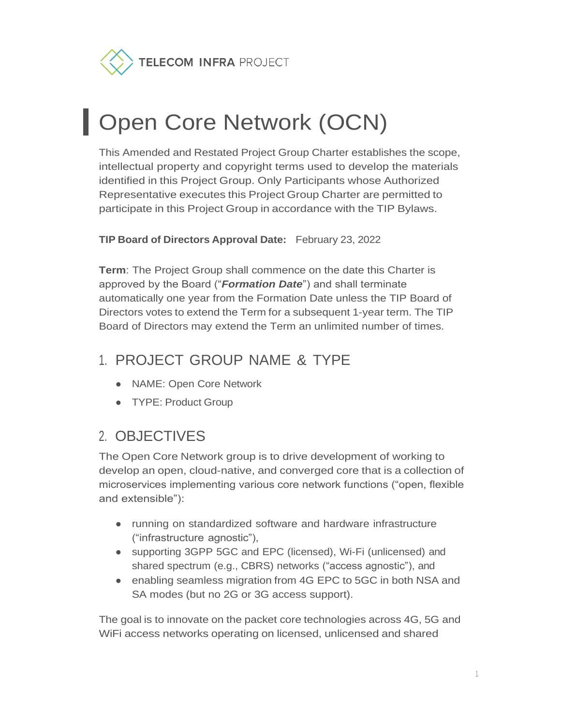TELECOM INFRA PROJECT

# **Open Core Network (OCN)**

This Amended and Restated Project Group Charter establishes the scope, intellectual property and copyright terms used to develop the materials identified in this Project Group. Only Participants whose Authorized Representative executes this Project Group Charter are permitted to participate in this Project Group in accordance with the TIP Bylaws.

**TIP Board of Directors Approval Date:** February 23, 2022

**Term**: The Project Group shall commence on the date this Charter is approved by the Board ("*Formation Date*") and shall terminate automatically one year from the Formation Date unless the TIP Board of Directors votes to extend the Term for a subsequent 1-year term. The TIP Board of Directors may extend the Term an unlimited number of times.

## 1. PROJECT GROUP NAME & TYPE

- NAME: Open Core Network
- TYPE: Product Group

### 2. OBJECTIVES

The Open Core Network group is to drive development of working to develop an open, cloud-native, and converged core that is a collection of microservices implementing various core network functions ("open, flexible and extensible"):

- running on standardized software and hardware infrastructure ("infrastructure agnostic"),
- supporting 3GPP 5GC and EPC (licensed), Wi-Fi (unlicensed) and shared spectrum (e.g., CBRS) networks ("access agnostic"), and
- enabling seamless migration from 4G EPC to 5GC in both NSA and SA modes (but no 2G or 3G access support).

The goal is to innovate on the packet core technologies across 4G, 5G and WiFi access networks operating on licensed, unlicensed and shared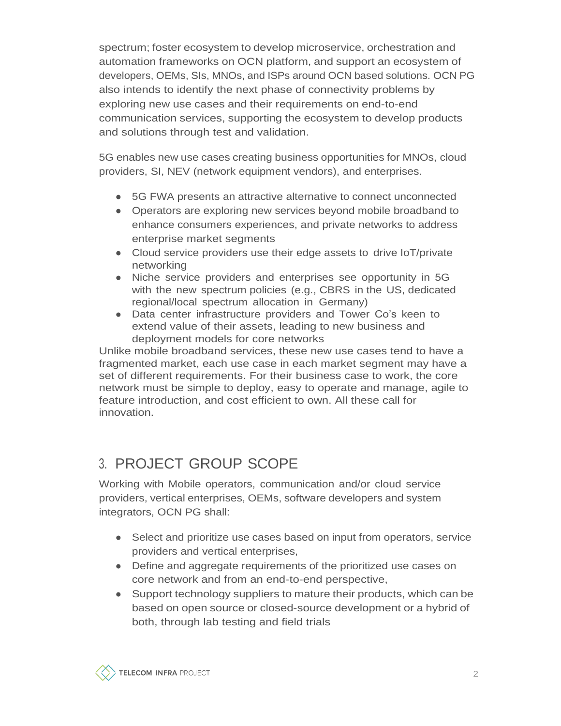spectrum; foster ecosystem to develop microservice, orchestration and automation frameworks on OCN platform, and support an ecosystem of developers, OEMs, SIs, MNOs, and ISPs around OCN based solutions. OCN PG also intends to identify the next phase of connectivity problems by exploring new use cases and their requirements on end-to-end communication services, supporting the ecosystem to develop products and solutions through test and validation.

5G enables new use cases creating business opportunities for MNOs, cloud providers, SI, NEV (network equipment vendors), and enterprises.

- 5G FWA presents an attractive alternative to connect unconnected
- Operators are exploring new services beyond mobile broadband to enhance consumers experiences, and private networks to address enterprise market segments
- Cloud service providers use their edge assets to drive IoT/private networking
- Niche service providers and enterprises see opportunity in 5G with the new spectrum policies (e.g., CBRS in the US, dedicated regional/local spectrum allocation in Germany)
- Data center infrastructure providers and Tower Co's keen to extend value of their assets, leading to new business and deployment models for core networks

Unlike mobile broadband services, these new use cases tend to have a fragmented market, each use case in each market segment may have a set of different requirements. For their business case to work, the core network must be simple to deploy, easy to operate and manage, agile to feature introduction, and cost efficient to own. All these call for innovation.

## 3. PROJECT GROUP SCOPE

Working with Mobile operators, communication and/or cloud service providers, vertical enterprises, OEMs, software developers and system integrators, OCN PG shall:

- Select and prioritize use cases based on input from operators, service providers and vertical enterprises,
- Define and aggregate requirements of the prioritized use cases on core network and from an end-to-end perspective,
- Support technology suppliers to mature their products, which can be based on open source or closed-source development or a hybrid of both, through lab testing and field trials

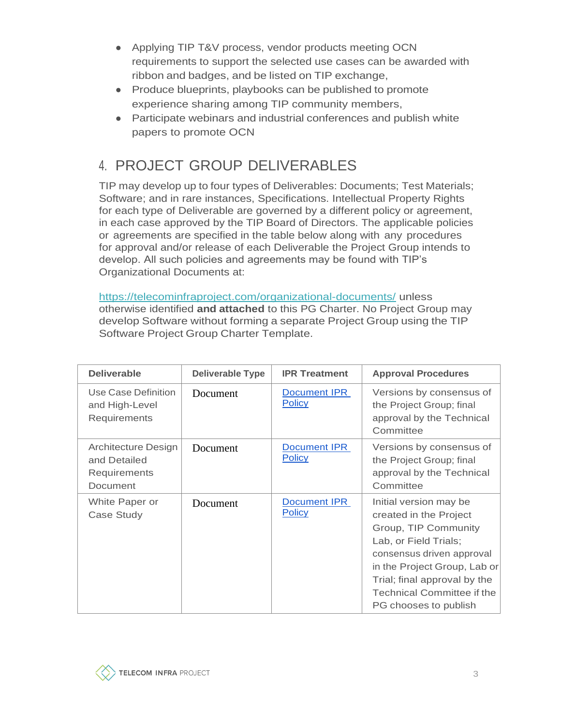- Applying TIP T&V process, vendor products meeting OCN requirements to support the selected use cases can be awarded with ribbon and badges, and be listed on TIP exchange,
- Produce blueprints, playbooks can be published to promote experience sharing among TIP community members,
- Participate webinars and industrial conferences and publish white papers to promote OCN

# 4. PROJECT GROUP DELIVERABLES

TIP may develop up to four types of Deliverables: Documents; Test Materials; Software; and in rare instances, Specifications. Intellectual Property Rights for each type of Deliverable are governed by a different policy or agreement, in each case approved by the TIP Board of Directors. The applicable policies or agreements are specified in the table below along with any procedures for approval and/or release of each Deliverable the Project Group intends to develop. All such policies and agreements may be found with TIP's Organizational Documents at:

<https://telecominfraproject.com/organizational-documents/> unless otherwise identified **and attached** to this PG Charter. No Project Group may develop Software without forming a separate Project Group using the TIP Software Project Group Charter Template.

| <b>Deliverable</b>                                                     | <b>Deliverable Type</b> | <b>IPR Treatment</b>          | <b>Approval Procedures</b>                                                                                                                                                                                                                            |
|------------------------------------------------------------------------|-------------------------|-------------------------------|-------------------------------------------------------------------------------------------------------------------------------------------------------------------------------------------------------------------------------------------------------|
| Use Case Definition<br>and High-Level<br>Requirements                  | Document                | Document IPR<br><b>Policy</b> | Versions by consensus of<br>the Project Group; final<br>approval by the Technical<br>Committee                                                                                                                                                        |
| Architecture Design<br>and Detailed<br>Requirements<br><b>Document</b> | Document                | Document IPR<br><b>Policy</b> | Versions by consensus of<br>the Project Group; final<br>approval by the Technical<br>Committee                                                                                                                                                        |
| White Paper or<br>Case Study                                           | Document                | Document IPR<br><b>Policy</b> | Initial version may be<br>created in the Project<br>Group, TIP Community<br>Lab, or Field Trials;<br>consensus driven approval<br>in the Project Group, Lab or<br>Trial; final approval by the<br>Technical Committee if the<br>PG chooses to publish |

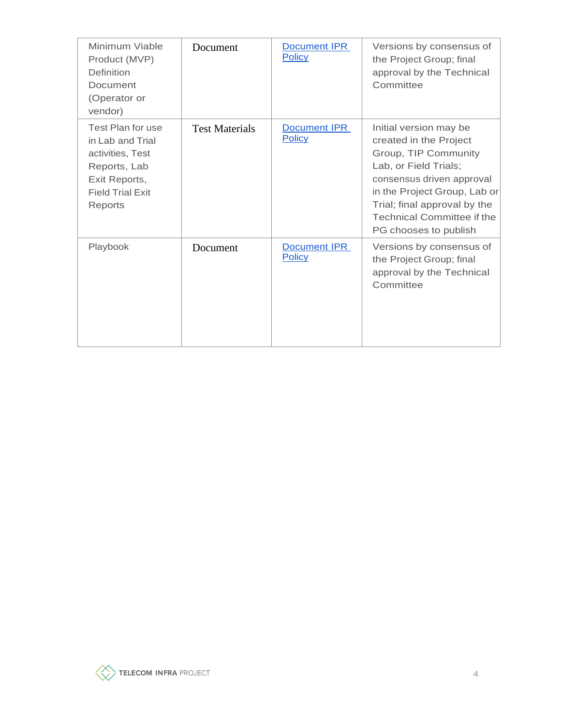| Minimum Viable<br>Product (MVP)<br>Definition<br>Document<br>(Operator or<br>vendor)                                             | Document              | Document IPR<br><b>Policy</b> | Versions by consensus of<br>the Project Group; final<br>approval by the Technical<br>Committee                                                                                                                                                        |
|----------------------------------------------------------------------------------------------------------------------------------|-----------------------|-------------------------------|-------------------------------------------------------------------------------------------------------------------------------------------------------------------------------------------------------------------------------------------------------|
| Test Plan for use<br>in Lab and Trial<br>activities, Test<br>Reports, Lab<br>Exit Reports,<br><b>Field Trial Exit</b><br>Reports | <b>Test Materials</b> | Document IPR<br><b>Policy</b> | Initial version may be<br>created in the Project<br>Group, TIP Community<br>Lab, or Field Trials;<br>consensus driven approval<br>in the Project Group, Lab or<br>Trial; final approval by the<br>Technical Committee if the<br>PG chooses to publish |
| Playbook                                                                                                                         | Document              | Document IPR<br><b>Policy</b> | Versions by consensus of<br>the Project Group; final<br>approval by the Technical<br>Committee                                                                                                                                                        |

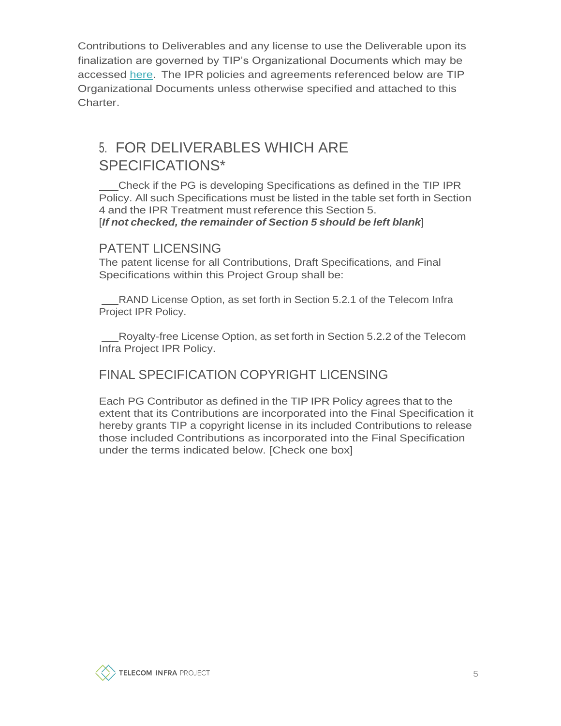Contributions to Deliverables and any license to use the Deliverable upon its finalization are governed by TIP's Organizational Documents which may be accessed [here.](https://telecominfraproject.com/organizational-documents/) The IPR policies and agreements referenced below are TIP Organizational Documents unless otherwise specified and attached to this Charter.

## 5. FOR DELIVERABLES WHICH ARE SPECIFICATIONS\*

Check if the PG is developing Specifications as defined in the TIP IPR Policy. All such Specifications must be listed in the table set forth in Section 4 and the IPR Treatment must reference this Section 5. [*If not checked, the remainder of Section 5 should be left blank*]

#### PATENT LICENSING

The patent license for all Contributions, Draft Specifications, and Final Specifications within this Project Group shall be:

RAND License Option, as set forth in Section 5.2.1 of the Telecom Infra Project IPR Policy.

Royalty-free License Option, as set forth in Section 5.2.2 of the Telecom Infra Project IPR Policy.

#### FINAL SPECIFICATION COPYRIGHT LICENSING

Each PG Contributor as defined in the TIP IPR Policy agrees that to the extent that its Contributions are incorporated into the Final Specification it hereby grants TIP a copyright license in its included Contributions to release those included Contributions as incorporated into the Final Specification under the terms indicated below. [Check one box]

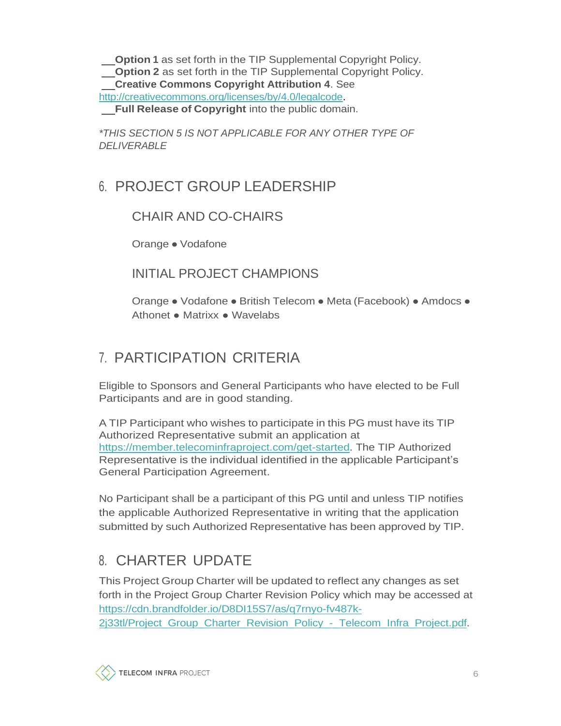**Option 1** as set forth in the TIP Supplemental Copyright Policy. **Option 2** as set forth in the TIP Supplemental Copyright Policy. **Creative Commons Copyright Attribution 4**. See [http://creativecommons.org/licenses/by/4.0/legalcode.](http://creativecommons.org/licenses/by/4.0/legalcode)

**Full Release of Copyright** into the public domain.

*\*THIS SECTION 5 IS NOT APPLICABLE FOR ANY OTHER TYPE OF DELIVERABLE*

## 6. PROJECT GROUP LEADERSHIP

#### CHAIR AND CO-CHAIRS

Orange ● Vodafone

#### INITIAL PROJECT CHAMPIONS

Orange ● Vodafone ● British Telecom ● Meta (Facebook) ● Amdocs ● Athonet ● Matrixx ● Wavelabs

## 7. PARTICIPATION CRITERIA

Eligible to Sponsors and General Participants who have elected to be Full Participants and are in good standing.

A TIP Participant who wishes to participate in this PG must have its TIP Authorized Representative submit an application at [https://member.telecominfraproject.com/get-started.](https://member.telecominfraproject.com/get-started) The TIP Authorized Representative is the individual identified in the applicable Participant's General Participation Agreement.

No Participant shall be a participant of this PG until and unless TIP notifies the applicable Authorized Representative in writing that the application submitted by such Authorized Representative has been approved by TIP.

# 8. CHARTER UPDATE

This Project Group Charter will be updated to reflect any changes as set forth in the Project Group Charter Revision Policy which may be accessed at [https://cdn.brandfolder.io/D8DI15S7/as/q7rnyo-fv487k-](https://cdn.brandfolder.io/D8DI15S7/as/q7rnyo-fv487k-2j33tl/Project_Group_Charter_Revision_Policy_-_Telecom_Infra_Project.pdf)[2j33tl/Project\\_Group\\_Charter\\_Revision\\_Policy\\_-\\_Telecom\\_Infra\\_Project.pdf.](https://cdn.brandfolder.io/D8DI15S7/as/q7rnyo-fv487k-2j33tl/Project_Group_Charter_Revision_Policy_-_Telecom_Infra_Project.pdf)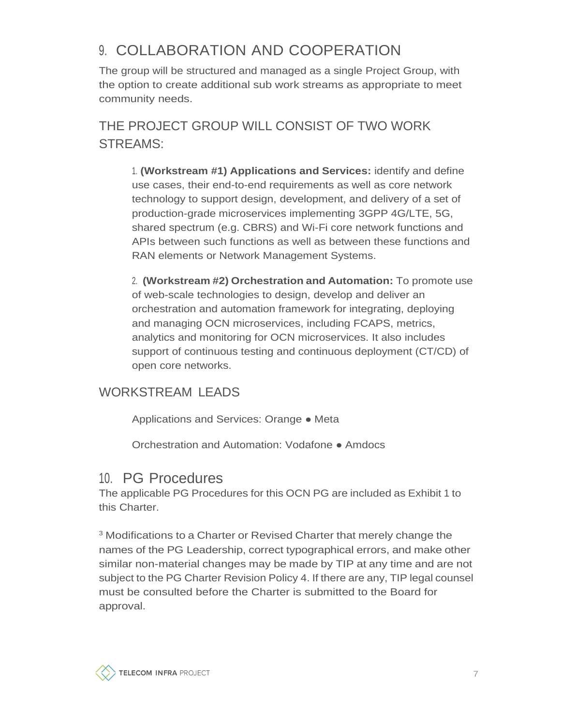# 9. COLLABORATION AND COOPERATION

The group will be structured and managed as a single Project Group, with the option to create additional sub work streams as appropriate to meet community needs.

THE PROJECT GROUP WILL CONSIST OF TWO WORK STREAMS:

1. **(Workstream #1) Applications and Services:** identify and define use cases, their end-to-end requirements as well as core network technology to support design, development, and delivery of a set of production-grade microservices implementing 3GPP 4G/LTE, 5G, shared spectrum (e.g. CBRS) and Wi-Fi core network functions and APIs between such functions as well as between these functions and RAN elements or Network Management Systems.

2. **(Workstream #2) Orchestration and Automation:** To promote use of web-scale technologies to design, develop and deliver an orchestration and automation framework for integrating, deploying and managing OCN microservices, including FCAPS, metrics, analytics and monitoring for OCN microservices. It also includes support of continuous testing and continuous deployment (CT/CD) of open core networks.

#### WORKSTREAM LEADS

Applications and Services: Orange ● Meta

Orchestration and Automation: Vodafone ● Amdocs

#### 10. PG Procedures

The applicable PG Procedures for this OCN PG are included as Exhibit 1 to this Charter.

<sup>3</sup> Modifications to a Charter or Revised Charter that merely change the names of the PG Leadership, correct typographical errors, and make other similar non-material changes may be made by TIP at any time and are not subject to the PG Charter Revision Policy 4. If there are any, TIP legal counsel must be consulted before the Charter is submitted to the Board for approval.